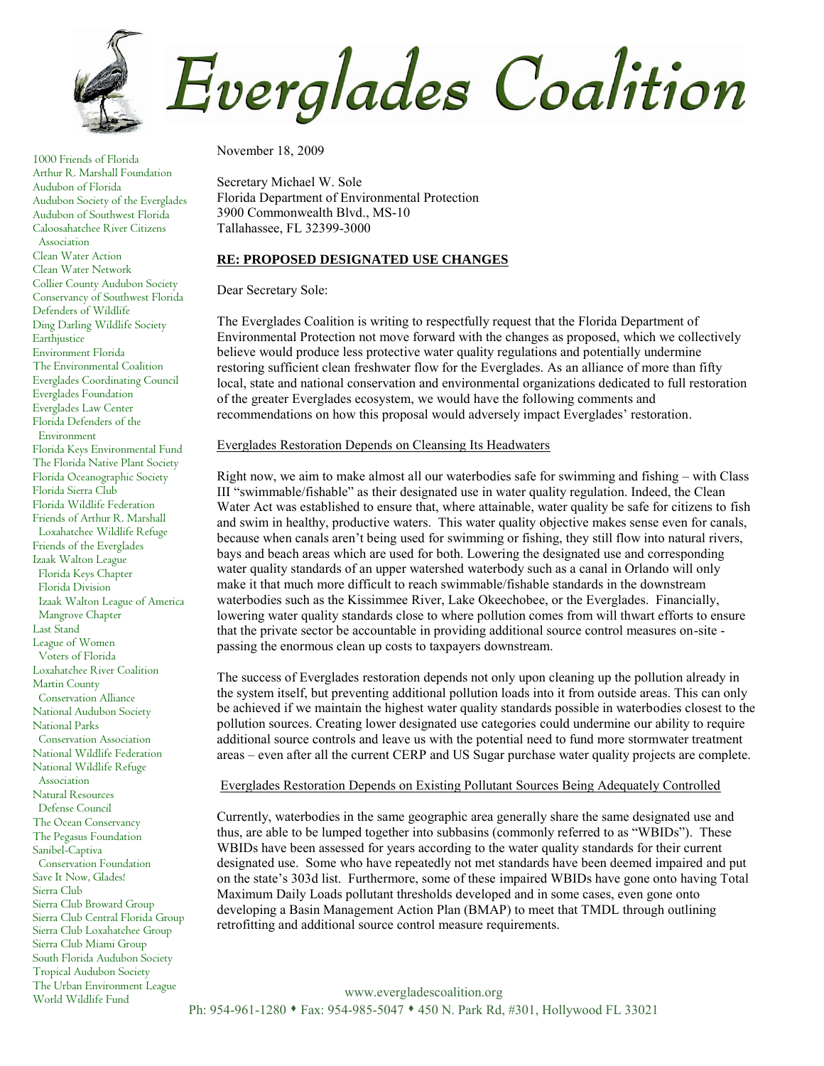

1000 Friends of Florida Arthur R. Marshall Foundation Audubon of Florida Audubon Society of the Everglades Audubon of Southwest Florida Caloosahatchee River Citizens Association Clean Water Action Clean Water Network Collier County Audubon Society Conservancy of Southwest Florida Defenders of Wildlife Ding Darling Wildlife Society Earthjustice Environment Florida The Environmental Coalition Everglades Coordinating Council Everglades Foundation Everglades Law Center Florida Defenders of the Environment Florida Keys Environmental Fund The Florida Native Plant Society Florida Oceanographic Society Florida Sierra Club Florida Wildlife Federation Friends of Arthur R. Marshall Loxahatchee Wildlife Refuge Friends of the Everglades Izaak Walton League Florida Keys Chapter Florida Division Izaak Walton League of America Mangrove Chapter Last Stand League of Women Voters of Florida Loxahatchee River Coalition Martin County Conservation Alliance National Audubon Society National Parks Conservation Association National Wildlife Federation National Wildlife Refuge Association Natural Resources Defense Council The Ocean Conservancy The Pegasus Foundation Sanibel-Captiva Conservation Foundation Save It Now, Glades! Sierra Club Sierra Club Broward Group Sierra Club Central Florida Group Sierra Club Loxahatchee Group Sierra Club Miami Group South Florida Audubon Society Tropical Audubon Society The Urban Environment League World Wildlife Fund

November 18, 2009

Secretary Michael W. Sole Florida Department of Environmental Protection 3900 Commonwealth Blvd., MS-10 Tallahassee, FL 32399-3000

### **RE: PROPOSED DESIGNATED USE CHANGES**

Dear Secretary Sole:

The Everglades Coalition is writing to respectfully request that the Florida Department of Environmental Protection not move forward with the changes as proposed, which we collectively believe would produce less protective water quality regulations and potentially undermine restoring sufficient clean freshwater flow for the Everglades. As an alliance of more than fifty local, state and national conservation and environmental organizations dedicated to full restoration of the greater Everglades ecosystem, we would have the following comments and recommendations on how this proposal would adversely impact Everglades' restoration.

# Everglades Restoration Depends on Cleansing Its Headwaters

Right now, we aim to make almost all our waterbodies safe for swimming and fishing – with Class III "swimmable/fishable" as their designated use in water quality regulation. Indeed, the Clean Water Act was established to ensure that, where attainable, water quality be safe for citizens to fish and swim in healthy, productive waters. This water quality objective makes sense even for canals, because when canals aren't being used for swimming or fishing, they still flow into natural rivers, bays and beach areas which are used for both. Lowering the designated use and corresponding water quality standards of an upper watershed waterbody such as a canal in Orlando will only make it that much more difficult to reach swimmable/fishable standards in the downstream waterbodies such as the Kissimmee River, Lake Okeechobee, or the Everglades. Financially, lowering water quality standards close to where pollution comes from will thwart efforts to ensure that the private sector be accountable in providing additional source control measures on-site passing the enormous clean up costs to taxpayers downstream.

The success of Everglades restoration depends not only upon cleaning up the pollution already in the system itself, but preventing additional pollution loads into it from outside areas. This can only be achieved if we maintain the highest water quality standards possible in waterbodies closest to the pollution sources. Creating lower designated use categories could undermine our ability to require additional source controls and leave us with the potential need to fund more stormwater treatment areas – even after all the current CERP and US Sugar purchase water quality projects are complete.

### Everglades Restoration Depends on Existing Pollutant Sources Being Adequately Controlled

Currently, waterbodies in the same geographic area generally share the same designated use and thus, are able to be lumped together into subbasins (commonly referred to as "WBIDs"). These WBIDs have been assessed for years according to the water quality standards for their current designated use. Some who have repeatedly not met standards have been deemed impaired and put on the state's 303d list. Furthermore, some of these impaired WBIDs have gone onto having Total Maximum Daily Loads pollutant thresholds developed and in some cases, even gone onto developing a Basin Management Action Plan (BMAP) to meet that TMDL through outlining retrofitting and additional source control measure requirements.